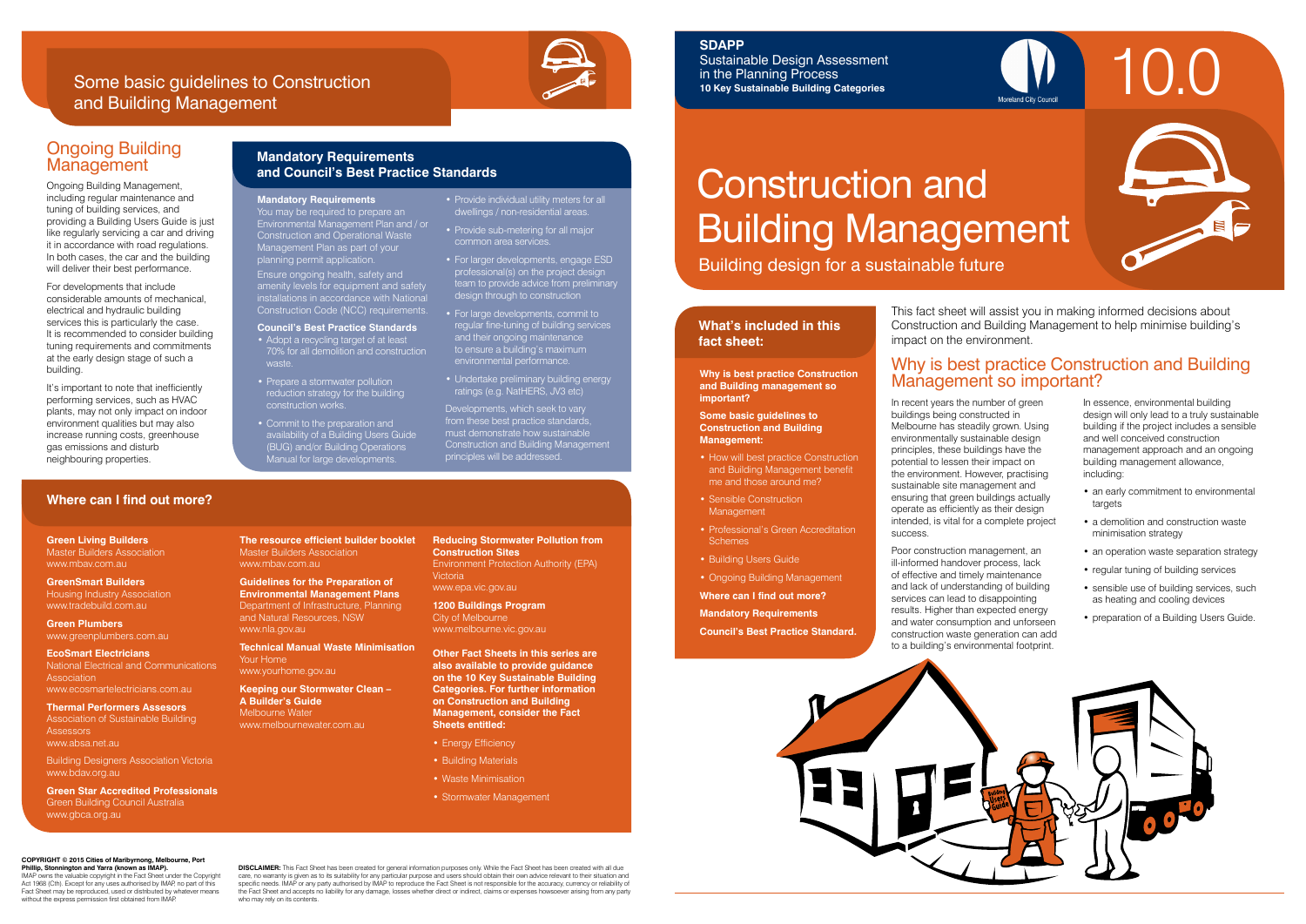# Construction and Building Management

Building design for a sustainable future

## **What's included in this**

## **fact sheet:**



In recent years the number of green buildings being constructed in Melbourne has steadily grown. Using environmentally sustainable design principles, these buildings have the potential to lessen their impact on the environment. However, practising sustainable site management and ensuring that green buildings actually operate as efficiently as their design intended, is vital for a complete project success.

- an early commitment to environmental targets
- a demolition and construction waste minimisation strategy
- an operation waste separation strategy
- regular tuning of building services
- sensible use of building services, such as heating and cooling devices
- preparation of a Building Users Guide.

### Why is best practice Construction and Building Why is best practice Construction<br> **Management so important?**

Poor construction management, an ill-informed handover process, lack of effective and timely maintenance and lack of understanding of building services can lead to disappointing results. Higher than expected energy and water consumption and unforseen construction waste generation can add to a building's environmental footprint.

- How will best practice Construction and Building Management benefit me and those around me?
- Sensible Construction Management
- Professional's Green Accreditation **Schemes**
- Building Users Guide
- 
- **Where can I find out more?**
- **Mandatory Requirements**

In essence, environmental building design will only lead to a truly sustainable building if the project includes a sensible and well conceived construction management approach and an ongoing building management allowance, including:

### **and Building management so important?**

### **Some basic guidelines to Management:**

# **Construction and Building**

- Energy Efficiency
- Building Materials
- Waste Minimisation
- Stormwater Management

- 
- 
- 
- 
- Ongoing Building Management
- 
- 
- **Council's Best Practice Standard.**



This fact sheet will assist you in making informed decisions about Construction and Building Management to help minimise building's impact on the environment.

**Green Living Builders** Master Builders Association www.mbav.com.au

It's important to note that inefficiently performing services, such as HVAC plants, may not only impact on indoor environment qualities but may also increase running costs, greenhouse

**GreenSmart Builders** Housing Industry Association www.tradebuild.com.au

**Green Plumbers** www.greenplumbers.com.au

**EcoSmart Electricians** National Electrical and Communications Association www.ecosmartelectricians.com.au

**Thermal Performers Assesors** Association of Sustainable Building **Assessors** www.absa.net.au

Building Designers Association Victoria www.bdav.org.au

**Green Star Accredited Professionals** Green Building Council Australia www.gbca.org.au

**The resource efficient builder booklet** Master Builders Association www.mbav.com.au

**Guidelines for the Preparation of Environmental Management Plans**  Department of Infrastructure, Planning and Natural Resources, NSW

www.nla.gov.au

**Technical Manual Waste Minimisation**  Your Home www.yourhome.gov.au

- **Council's Best Practice Standards**
- Adopt a recycling target of at least 70% for all demolition and construction
- reduction strategy for the building
- Commit to the preparation and availability of a Building Users Guide (BUG) and/or Building Operations
- 
- 
- 
- Prepare a stormwater pollution construction works.
- Manual for large developments.

**Keeping our Stormwater Clean – A Builder's Guide**  Melbourne Water www.melbournewater.com.au

**Reducing Stormwater Pollution from Construction Sites**  Environment Protection Authority (EPA)

# Victoria

www.epa.vic.gov.au

**1200 Buildings Program**  City of Melbourne www.melbourne.vic.gov.au

**Other Fact Sheets in this series are also available to provide guidance on the 10 Key Sustainable Building Categories. For further information on Construction and Building Management, consider the Fact Sheets entitled:** 

### **Where can I find out more?**

Ongoing Building

Ongoing Building Management, including regular maintenance and tuning of building services, and providing a Building Users Guide is just like regularly servicing a car and driving it in accordance with road regulations. In both cases, the car and the building will deliver their best performance. For developments that include considerable amounts of mechanical, electrical and hydraulic building services this is particularly the case. It is recommended to consider building tuning requirements and commitments at the early design stage of such a

**Management** 

building.

gas emissions and disturb neighbouring properties.

### Some basic guidelines to Construction and Building Management



### **Mandatory Requirements and Council's Best Practice Standards**

### **COPYRIGHT © 2015 Cities of Maribyrnong, Melbourne, Port Phillip, Stonnington and Yarra (known as IMAP).**

IMAP owns the valuable copyright in the Fact Sheet under the Copyright Act 1968 (Cth). Except for any uses authorised by IMAP, no part of this Fact Sheet may be reproduced, used or distributed by whatever means without the express permission first obtained from IMAP.

**DISCLAIMER:** This Fact Sheet has been created for general information purposes only. While the Fact Sheet has been created with all due care, no warranty is given as to its suitability for any particular purpose and users should obtain their own advice relevant to their situation and<br>specific needs. IMAP or any party authorised by IMAP to reproduce the Fac the Fact Sheet and accepts no liability for any damage, losses whether direct or indirect, claims or expenses howsoever arising from any party who may rely on its contents.

### **SDAPP**

Sustainable Design Assessment in the Planning Process **10 Key Sustainable Building Categories**

**Mandatory Requirements** You may be required to prepare an Environmental Management Plan and / or Construction and Operational Waste Management Plan as part of your planning permit application.

Ensure ongoing health, safety and amenity levels for equipment and safety installations in accordance with National Construction Code (NCC) requirements.

• Provide individual utility meters for all dwellings / non-residential areas. • Provide sub-metering for all major

common area services.

• For larger developments, engage ESD professional(s) on the project design team to provide advice from preliminary

design through to construction • For large developments, commit to regular fine-tuning of building services and their ongoing maintenance to ensure a building's maximum environmental performance.

• Undertake preliminary building energy ratings (e.g. NatHERS, JV3 etc) Developments, which seek to vary from these best practice standards, must demonstrate how sustainable Construction and Building Management

principles will be addressed.